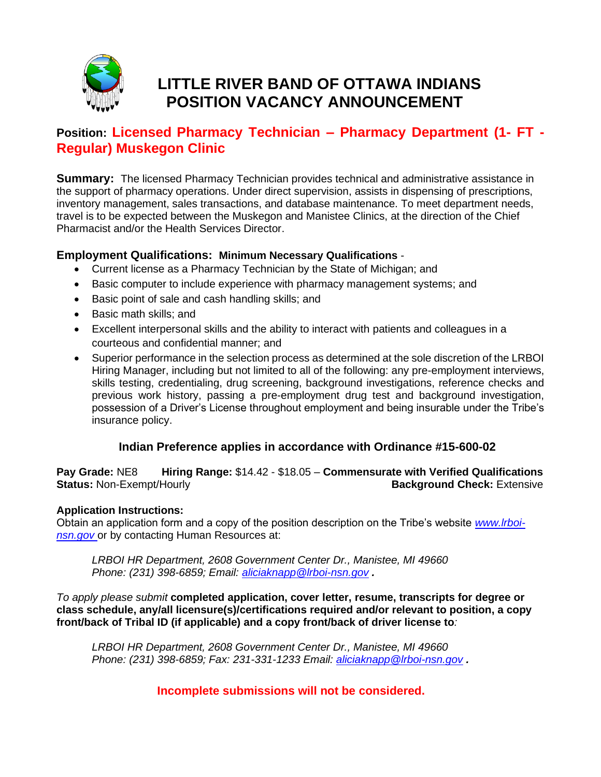

# **LITTLE RIVER BAND OF OTTAWA INDIANS POSITION VACANCY ANNOUNCEMENT**

# **Position: Licensed Pharmacy Technician – Pharmacy Department (1- FT - Regular) Muskegon Clinic**

**Summary:** The licensed Pharmacy Technician provides technical and administrative assistance in the support of pharmacy operations. Under direct supervision, assists in dispensing of prescriptions, inventory management, sales transactions, and database maintenance. To meet department needs, travel is to be expected between the Muskegon and Manistee Clinics, at the direction of the Chief Pharmacist and/or the Health Services Director.

### **Employment Qualifications: Minimum Necessary Qualifications** -

- Current license as a Pharmacy Technician by the State of Michigan; and
- Basic computer to include experience with pharmacy management systems; and
- Basic point of sale and cash handling skills; and
- Basic math skills; and
- Excellent interpersonal skills and the ability to interact with patients and colleagues in a courteous and confidential manner; and
- Superior performance in the selection process as determined at the sole discretion of the LRBOI Hiring Manager, including but not limited to all of the following: any pre-employment interviews, skills testing, credentialing, drug screening, background investigations, reference checks and previous work history, passing a pre-employment drug test and background investigation, possession of a Driver's License throughout employment and being insurable under the Tribe's insurance policy.

# **Indian Preference applies in accordance with Ordinance #15-600-02**

**Pay Grade:** NE8 **Hiring Range:** \$14.42 - \$18.05 – **Commensurate with Verified Qualifications Status: Non-Exempt/Hourly <b>Background Check:** Extensive **Background Check:** Extensive

#### **Application Instructions:**

Obtain an application form and a copy of the position description on the Tribe's website *[www.lrboi](http://www.lrboi-nsn.gov/)***[nsn.gov](http://www.lrboi-nsn.gov/)** or by contacting Human Resources at:

*LRBOI HR Department, 2608 Government Center Dr., Manistee, MI 49660 Phone: (231) 398-6859; Email: [aliciaknapp@lrboi-nsn.gov](mailto:aliciaknapp@lrboi-nsn.gov) .* 

*To apply please submit* **completed application, cover letter, resume, transcripts for degree or class schedule, any/all licensure(s)/certifications required and/or relevant to position, a copy front/back of Tribal ID (if applicable) and a copy front/back of driver license to***:*

*LRBOI HR Department, 2608 Government Center Dr., Manistee, MI 49660 Phone: (231) 398-6859; Fax: 231-331-1233 Email: [aliciaknapp@lrboi-nsn.gov](mailto:aliciaknapp@lrboi-nsn.gov) .* 

# **Incomplete submissions will not be considered.**